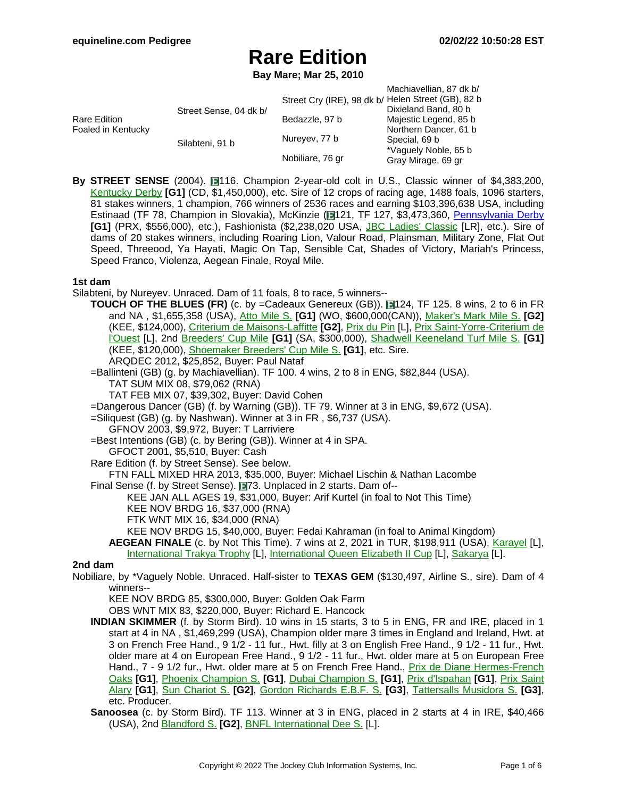**Bay Mare; Mar 25, 2010**

|                                           |                        |                                                    | Machiavellian, 87 dk b/ |
|-------------------------------------------|------------------------|----------------------------------------------------|-------------------------|
| <b>Rare Edition</b><br>Foaled in Kentucky | Street Sense, 04 dk b/ | Street Cry (IRE), 98 dk b/ Helen Street (GB), 82 b |                         |
|                                           |                        |                                                    | Dixieland Band, 80 b    |
|                                           |                        | Bedazzle, 97 b                                     | Majestic Legend, 85 b   |
|                                           |                        |                                                    | Northern Dancer, 61 b   |
|                                           | Silabteni, 91 b        | Nureyev, 77 b                                      | Special, 69 b           |
|                                           |                        |                                                    | *Vaguely Noble, 65 b    |
|                                           |                        | Nobiliare, 76 gr                                   | Gray Mirage, 69 gr      |
|                                           |                        |                                                    |                         |

**By STREET SENSE** (2004). 116. Champion 2-year-old colt in U.S., Classic winner of \$4,383,200, [Kentucky](https://www.equineline.com/dotVideoChart.cfm?track=CD+&country=USA&race_date=2007-05-05&refno=7198670®istry=T&race_name=Kentucky+Derby&race_number=10&day_evening=D&product_reference_number=40PA) Derby **[G1]** (CD, \$1,450,000), etc. Sire of 12 crops of racing age, 1488 foals, 1096 starters, 81 stakes winners, 1 champion, 766 winners of 2536 races and earning \$103,396,638 USA, including Estinaad (TF 78, Champion in Slovakia), McKinzie (1121, TF 127, \$3,473,360, P[ennsylvania](https://www.equineline.com/dotVideoChart.cfm?track=PRX&country=USA&race_date=2018-09-22&raceid=mp4:2018/1308/201809221744PHD11_1308.mp4&refno=9873708®istry=T&race_name=Pennsylvania+Derby&race_number=11&day_evening=D&product_reference_number=40PA) Derby **[G1]** (PRX, \$556,000), etc.), Fashionista (\$2,238,020 USA, JBC Ladies' [Classic](https://www.equineline.com/dotVideoChart.cfm?track=OI+&country=JPN&race_date=2020-11-03&refno=10033107®istry=T&race_name=JBC+Ladies) [LR], etc.). Sire of dams of 20 stakes winners, including Roaring Lion, Valour Road, Plainsman, Military Zone, Flat Out Speed, Threeood, Ya Hayati, Magic On Tap, Sensible Cat, Shades of Victory, Mariah's Princess, Speed Franco, Violenza, Aegean Finale, Royal Mile.

### **1st dam**

Silabteni, by Nureyev. Unraced. Dam of 11 foals, 8 to race, 5 winners--

**TOUCH OF THE BLUES (FR)** (c. by =Cadeaux Genereux (GB)). 1124, TF 125. 8 wins, 2 to 6 in FR and NA , \$1,655,358 (USA), Atto [Mile](https://www.equineline.com/dotVideoChart.cfm?track=WO+&country=CAN&race_date=2003-09-14&refno=2529460®istry=T&race_name=Atto+Mile+S.&race_number=9&day_evening=D&product_reference_number=40PA) S. **[G1]** (WO, \$600,000(CAN)), [Maker's](https://www.equineline.com/dotVideoChart.cfm?track=KEE&country=USA&race_date=2002-04-12&refno=2529460®istry=T&race_name=Maker) Mark Mile S. **[G2]** (KEE, \$124,000), Criterium de [Maisons-Laffitte](https://www.equineline.com/dotVideoChart.cfm?track=ML+&country=FR+&race_date=1999-11-05&refno=2529460®istry=T&race_name=Criterium+de+Maisons-Laffitte&race_number=1190&day_evening=D&product_reference_number=40PA) **[G2]**, [Prix](https://www.equineline.com/dotVideoChart.cfm?track=LCH&country=FR+&race_date=2000-09-16&refno=2529460®istry=T&race_name=Prix+du+Pin&race_number=813&day_evening=D&product_reference_number=40PA) du Pin [L], Prix [Saint-Yorre-Criterium](https://www.equineline.com/dotVideoChart.cfm?track=CRA&country=FR+&race_date=1999-09-04&refno=2529460®istry=T&race_name=Prix+Saint-Yorre-Criterium+de+l) de [l'Ouest](https://www.equineline.com/dotVideoChart.cfm?track=CRA&country=FR+&race_date=1999-09-04&refno=2529460®istry=T&race_name=Prix+Saint-Yorre-Criterium+de+l) [L], 2nd [Breeders'](https://www.equineline.com/dotVideoChart.cfm?track=SA+&country=USA&race_date=2003-10-25&refno=2529460®istry=T&race_name=Breeders) Cup Mile **[G1]** (SA, \$300,000), Shadwell [Keeneland](https://www.equineline.com/dotVideoChart.cfm?track=KEE&country=USA&race_date=2002-10-06&refno=2529460®istry=T&race_name=Shadwell+Keeneland+Turf+Mile+S.&race_number=6&day_evening=D&product_reference_number=40PA) Turf Mile S. **[G1]** (KEE, \$120,000), [Shoemaker](https://www.equineline.com/dotVideoChart.cfm?track=HOL&country=USA&race_date=2001-05-28&refno=2529460®istry=T&race_name=Shoemaker+Breeders) Breeders' Cup Mile S. **[G1]**, etc. Sire.

ARQDEC 2012, \$25,852, Buyer: Paul Nataf =Ballinteni (GB) (g. by Machiavellian). TF 100. 4 wins, 2 to 8 in ENG, \$82,844 (USA).

TAT SUM MIX 08, \$79,062 (RNA)

TAT FEB MIX 07, \$39,302, Buyer: David Cohen

- =Dangerous Dancer (GB) (f. by Warning (GB)). TF 79. Winner at 3 in ENG, \$9,672 (USA).
- =Siliquest (GB) (g. by Nashwan). Winner at 3 in FR , \$6,737 (USA).
	- GFNOV 2003, \$9,972, Buyer: T Larriviere
- =Best Intentions (GB) (c. by Bering (GB)). Winner at 4 in SPA.
	- GFOCT 2001, \$5,510, Buyer: Cash
- Rare Edition (f. by Street Sense). See below.

FTN FALL MIXED HRA 2013, \$35,000, Buyer: Michael Lischin & Nathan Lacombe

Final Sense (f. by Street Sense). **173.** Unplaced in 2 starts. Dam of--

KEE JAN ALL AGES 19, \$31,000, Buyer: Arif Kurtel (in foal to Not This Time)

KEE NOV BRDG 16, \$37,000 (RNA)

FTK WNT MIX 16, \$34,000 (RNA)

KEE NOV BRDG 15, \$40,000, Buyer: Fedai Kahraman (in foal to Animal Kingdom)

AEGEAN FINALE (c. by Not This Time). 7 wins at 2, 2021 in TUR, \$198,911 (USA), [Karayel](https://www.equineline.com/dotVideoChart.cfm?track=ANK&country=TUR&race_date=2021-08-14&refno=10623889®istry=T&race_name=Karayel&race_number=66123&day_evening=D&product_reference_number=40PA) [L], [International](https://www.equineline.com/dotVideoChart.cfm?track=ANK&country=TUR&race_date=2021-10-09&refno=10623889®istry=T&race_name=International+Queen+Elizabeth+II+Cup&race_number=64383&day_evening=D&product_reference_number=40PA) Trakya Trophy [L], International Queen Elizabeth II Cup [L], [Sakarya](https://www.equineline.com/dotVideoChart.cfm?track=IST&country=TUR&race_date=2021-11-14&refno=10623889®istry=T&race_name=Sakarya&race_number=64387&day_evening=D&product_reference_number=40PA) [L].

### **2nd dam**

Nobiliare, by \*Vaguely Noble. Unraced. Half-sister to **TEXAS GEM** (\$130,497, Airline S., sire). Dam of 4 winners--

KEE NOV BRDG 85, \$300,000, Buyer: Golden Oak Farm

OBS WNT MIX 83, \$220,000, Buyer: Richard E. Hancock

- **INDIAN SKIMMER** (f. by Storm Bird). 10 wins in 15 starts, 3 to 5 in ENG, FR and IRE, placed in 1 start at 4 in NA , \$1,469,299 (USA), Champion older mare 3 times in England and Ireland, Hwt. at 3 on French Free Hand., 9 1/2 - 11 fur., Hwt. filly at 3 on English Free Hand., 9 1/2 - 11 fur., Hwt. older mare at 4 on European Free Hand., 9 1/2 - 11 fur., Hwt. older mare at 5 on European Free Hand., 7 - 9 1/2 fur., Hwt. older mare at 5 on French Free Hand., *Prix de Diane [Hermes-French](https://www.equineline.com/dotVideoChart.cfm?track=CHY&country=FR+&race_date=1987-06-14&refno=965244®istry=T&race_name=Prix+de+Diane+Hermes-French+Oaks&race_number=461&day_evening=D&product_reference_number=40PA)* [Oaks](https://www.equineline.com/dotVideoChart.cfm?track=CHY&country=FR+&race_date=1987-06-14&refno=965244®istry=T&race_name=Prix+de+Diane+Hermes-French+Oaks&race_number=461&day_evening=D&product_reference_number=40PA) **[G1]**, Phoenix [Champion](https://www.equineline.com/dotVideoChart.cfm?track=PP+&country=IRE&race_date=1988-09-04&refno=965244®istry=T&race_name=Phoenix+Champion+S.&race_number=81287&day_evening=D&product_reference_number=40PA) S. **[G1]**, Dubai [Champion](https://www.equineline.com/dotVideoChart.cfm?track=NEW&country=ENG&race_date=1988-10-15&refno=965244®istry=T&race_name=Dubai+Champion+S.&race_number=44642&day_evening=D&product_reference_number=40PA) S. **[G1]**, Prix [d'Ispahan](https://www.equineline.com/dotVideoChart.cfm?track=LCH&country=FR+&race_date=1989-05-28&refno=965244®istry=T&race_name=Prix+d) **[G1]**, Prix [Saint](https://www.equineline.com/dotVideoChart.cfm?track=LCH&country=FR+&race_date=1987-05-24&refno=965244®istry=T&race_name=Prix+Saint+Alary&race_number=343&day_evening=D&product_reference_number=40PA) [Alary](https://www.equineline.com/dotVideoChart.cfm?track=LCH&country=FR+&race_date=1987-05-24&refno=965244®istry=T&race_name=Prix+Saint+Alary&race_number=343&day_evening=D&product_reference_number=40PA) **[G1]**, Sun [Chariot](https://www.equineline.com/dotVideoChart.cfm?track=NEW&country=ENG&race_date=1988-10-01&refno=965244®istry=T&race_name=Sun+Chariot+S.&race_number=44351&day_evening=D&product_reference_number=40PA) S. **[G2]**, Gordon [Richards](https://www.equineline.com/dotVideoChart.cfm?track=SAN&country=ENG&race_date=1989-04-29&refno=965244®istry=T&race_name=Gordon+Richards+E.B.F.+S.&race_number=10511&day_evening=D&product_reference_number=40PA) E.B.F. S. **[G3]**, Tattersalls [Musidora](https://www.equineline.com/dotVideoChart.cfm?track=YOR&country=ENG&race_date=1987-05-12&refno=965244®istry=T&race_name=Tattersalls+Musidora+S.&race_number=10801&day_evening=D&product_reference_number=40PA) S. **[G3]**, etc. Producer.
- **Sanoosea** (c. by Storm Bird). TF 113. Winner at 3 in ENG, placed in 2 starts at 4 in IRE, \$40,466 (USA), 2nd [Blandford](https://www.equineline.com/dotVideoChart.cfm?track=CUR&country=IRE&race_date=1996-10-19&refno=1363048®istry=T&race_name=Blandford+S.&race_number=82882&day_evening=D&product_reference_number=40PA) S. **[G2]**, BNFL [International](https://www.equineline.com/dotVideoChart.cfm?track=CHE&country=ENG&race_date=1995-05-11&refno=1363048®istry=T&race_name=BNFL+International+Dee+S.&race_number=11465&day_evening=D&product_reference_number=40PA) Dee S. [L].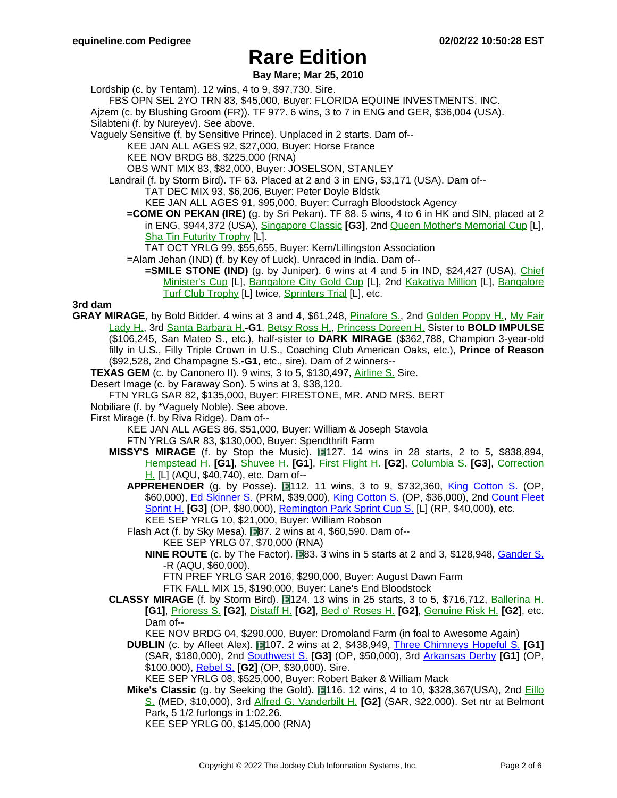#### **Bay Mare; Mar 25, 2010**

Lordship (c. by Tentam). 12 wins, 4 to 9, \$97,730. Sire.

FBS OPN SEL 2YO TRN 83, \$45,000, Buyer: FLORIDA EQUINE INVESTMENTS, INC.

Ajzem (c. by Blushing Groom (FR)). TF 97?. 6 wins, 3 to 7 in ENG and GER, \$36,004 (USA).

Silabteni (f. by Nureyev). See above.

Vaguely Sensitive (f. by Sensitive Prince). Unplaced in 2 starts. Dam of--

KEE JAN ALL AGES 92, \$27,000, Buyer: Horse France

KEE NOV BRDG 88, \$225,000 (RNA)

OBS WNT MIX 83, \$82,000, Buyer: JOSELSON, STANLEY

Landrail (f. by Storm Bird). TF 63. Placed at 2 and 3 in ENG, \$3,171 (USA). Dam of--

TAT DEC MIX 93, \$6,206, Buyer: Peter Doyle Bldstk

KEE JAN ALL AGES 91, \$95,000, Buyer: Curragh Bloodstock Agency

**=COME ON PEKAN (IRE)** (g. by Sri Pekan). TF 88. 5 wins, 4 to 6 in HK and SIN, placed at 2 in ENG, \$944,372 (USA), [Singapore](https://www.equineline.com/dotVideoChart.cfm?track=SIN&country=SIN&race_date=2003-03-07&refno=4544021®istry=T&race_name=Singapore+Classic&race_number=65381&day_evening=D&product_reference_number=40PA) Classic **[G3]**, 2nd Queen Mother's [Memorial](https://www.equineline.com/dotVideoChart.cfm?track=ST+&country=HK+&race_date=2002-06-09&refno=4544021®istry=T&race_name=Queen+Mother) Cup [L], Sha Tin [Futurity](https://www.equineline.com/dotVideoChart.cfm?track=ST+&country=HK+&race_date=2002-06-01&refno=4544021®istry=T&race_name=Sha+Tin+Futurity+Trophy&race_number=64788&day_evening=D&product_reference_number=40PA) Trophy [L].

TAT OCT YRLG 99, \$55,655, Buyer: Kern/Lillingston Association

=Alam Jehan (IND) (f. by Key of Luck). Unraced in India. Dam of--

**=SMILE STONE (IND)** (g. by Juniper). 6 wins at 4 and 5 in IND, \$24,427 (USA), Chi[ef](https://www.equineline.com/dotVideoChart.cfm?track=BAN&country=IND&race_date=2015-05-31&refno=9250004®istry=T&race_name=Chief+Minister) [Minister's](https://www.equineline.com/dotVideoChart.cfm?track=BAN&country=IND&race_date=2015-05-31&refno=9250004®istry=T&race_name=Chief+Minister) Cup [L], [Bangalore](https://www.equineline.com/dotVideoChart.cfm?track=BAN&country=IND&race_date=2015-07-31&refno=9250004®istry=T&race_name=Bangalore+City+Gold+Cup&race_number=65879&day_evening=D&product_reference_number=40PA) City Gold Cup [L], 2nd Kakatiya [Million](https://www.equineline.com/dotVideoChart.cfm?track=HYD&country=IND&race_date=2015-01-31&refno=9250004®istry=T&race_name=Kakatiya+Million&race_number=66109&day_evening=D&product_reference_number=40PA) [L], Ba[ngalore](https://www.equineline.com/dotVideoChart.cfm?track=BAN&country=IND&race_date=2015-12-05&refno=9250004®istry=T&race_name=Bangalore+Turf+Club+Trophy&race_number=64633&day_evening=D&product_reference_number=40PA) Turf Club [Trophy](https://www.equineline.com/dotVideoChart.cfm?track=BAN&country=IND&race_date=2015-12-05&refno=9250004®istry=T&race_name=Bangalore+Turf+Club+Trophy&race_number=64633&day_evening=D&product_reference_number=40PA) [L] twice, [Sprinters](https://www.equineline.com/dotVideoChart.cfm?track=BAN&country=IND&race_date=2016-01-29&refno=9250004®istry=T&race_name=Sprinters+Trial&race_number=66204&day_evening=D&product_reference_number=40PA) Trial [L], etc.

### **3rd dam**

**GRAY MIRAGE**, by Bold Bidder. 4 wins at 3 and 4, \$61,248, [Pinafore](https://www.equineline.com/dotVideoChart.cfm?track=SUF&country=USA&race_date=1972-04-15&refno=197291®istry=T&race_name=Pinafore+S.&race_number=8&day_evening=D&product_reference_number=40PA) S., 2nd Golden [Poppy](https://www.equineline.com/dotVideoChart.cfm?track=GG+&country=USA&race_date=1973-03-10&refno=197291®istry=T&race_name=Golden+Poppy+H.&race_number=6&day_evening=D&product_reference_number=40PA) H., My [Fair](https://www.equineline.com/dotVideoChart.cfm?track=SUF&country=USA&race_date=1973-05-06&refno=197291®istry=T&race_name=My+Fair+Lady+H.&race_number=9&day_evening=D&product_reference_number=40PA) [Lady](https://www.equineline.com/dotVideoChart.cfm?track=SUF&country=USA&race_date=1973-05-06&refno=197291®istry=T&race_name=My+Fair+Lady+H.&race_number=9&day_evening=D&product_reference_number=40PA) H., 3rd Santa [Barbara](https://www.equineline.com/dotVideoChart.cfm?track=SA+&country=USA&race_date=1973-03-22&refno=197291®istry=T&race_name=Santa+Barbara+H.&race_number=8&day_evening=D&product_reference_number=40PA) H.**-G1**, [Betsy](https://www.equineline.com/dotVideoChart.cfm?track=GS+&country=USA&race_date=1972-04-29&refno=197291®istry=T&race_name=Betsy+Ross+H.&race_number=8&day_evening=D&product_reference_number=40PA) Ross H., [Princess](https://www.equineline.com/dotVideoChart.cfm?track=RKM&country=USA&race_date=1973-07-21&refno=197291®istry=T&race_name=Princess+Doreen+H.&race_number=8&day_evening=D&product_reference_number=40PA) Doreen H. Sister to **BOLD IMPULSE** (\$106,245, San Mateo S., etc.), half-sister to **DARK MIRAGE** (\$362,788, Champion 3-year-old filly in U.S., Filly Triple Crown in U.S., Coaching Club American Oaks, etc.), **Prince of Reason** (\$92,528, 2nd Champagne S.**-G1**, etc., sire). Dam of 2 winners--

**TEXAS GEM** (c. by Canonero II). 9 wins, 3 to 5, \$130,497, [Airline](https://www.equineline.com/dotVideoChart.cfm?track=LAD&country=USA&race_date=1980-07-05&refno=692025®istry=T&race_name=Airline+S.&race_number=9&day_evening=D&product_reference_number=40PA) S. Sire.

Desert Image (c. by Faraway Son). 5 wins at 3, \$38,120.

FTN YRLG SAR 82, \$135,000, Buyer: FIRESTONE, MR. AND MRS. BERT

Nobiliare (f. by \*Vaguely Noble). See above.

First Mirage (f. by Riva Ridge). Dam of--

KEE JAN ALL AGES 86, \$51,000, Buyer: William & Joseph Stavola FTN YRLG SAR 83, \$130,000, Buyer: Spendthrift Farm

- **MISSY'S MIRAGE** (f. by Stop the Music). 14 wins in 28 starts, 2 to 5, \$838,894, [Hempstead](https://www.equineline.com/dotVideoChart.cfm?track=BEL&country=USA&race_date=1992-05-31&refno=1173888®istry=T&race_name=Hempstead+H.&race_number=8&day_evening=D&product_reference_number=40PA) H. **[G1]**, [Shuvee](https://www.equineline.com/dotVideoChart.cfm?track=BEL&country=USA&race_date=1992-05-09&refno=1173888®istry=T&race_name=Shuvee+H.&race_number=8&day_evening=D&product_reference_number=40PA) H. **[G1]**, First [Flight](https://www.equineline.com/dotVideoChart.cfm?track=AQU&country=USA&race_date=1991-11-02&refno=1173888®istry=T&race_name=First+Flight+H.&race_number=7&day_evening=D&product_reference_number=40PA) H. **[G2]**, C[olumbia](https://www.equineline.com/dotVideoChart.cfm?track=PIM&country=USA&race_date=1991-09-14&refno=1173888®istry=T&race_name=Columbia+S.&race_number=10&day_evening=D&product_reference_number=40PA) S. **[G3]**, Cor[rection](https://www.equineline.com/dotVideoChart.cfm?track=AQU&country=USA&race_date=1992-02-23&refno=1173888®istry=T&race_name=Correction+H.&race_number=8&day_evening=D&product_reference_number=40PA) [H.](https://www.equineline.com/dotVideoChart.cfm?track=AQU&country=USA&race_date=1992-02-23&refno=1173888®istry=T&race_name=Correction+H.&race_number=8&day_evening=D&product_reference_number=40PA) [L] (AQU, \$40,740), etc. Dam of--
	- **APPREHENDER** (g. by Posse). 112. 11 wins, 3 to 9, \$732,360, King [Cotton](https://www.equineline.com/dotVideoChart.cfm?track=OP+&country=USA&race_date=2014-02-15&raceid=mp4:2014/1308/201402151816OPM9_1308.f4v&refno=8540462®istry=T&race_name=King+Cotton+S.&race_number=9&day_evening=D&product_reference_number=40PA) S. (OP, \$60,000), Ed [Skinner](https://www.equineline.com/dotVideoChart.cfm?track=PRM&country=USA&race_date=2018-05-26&raceid=mp4:2018/1308/201805261712PMM8_1308.mp4&refno=8540462®istry=T&race_name=Ed+Skinner+S.&race_number=8&day_evening=D&product_reference_number=40PA) S. (PRM, \$39,000), King [Cotton](https://www.equineline.com/dotVideoChart.cfm?track=OP+&country=USA&race_date=2013-01-26&raceid=mp4:2013/1308/201301261743OPM8_1308.f4v&refno=8540462®istry=T&race_name=King+Cotton+S.&race_number=8&day_evening=D&product_reference_number=40PA) S. (OP, \$36,000), 2nd [Count](https://www.equineline.com/dotVideoChart.cfm?track=OP+&country=USA&race_date=2017-04-15&raceid=mp4:2017/1308/201704151658OPM7_1308.mp4&refno=8540462®istry=T&race_name=Count+Fleet+Sprint+H.&race_number=7&day_evening=D&product_reference_number=40PA) Fleet [Sprint](https://www.equineline.com/dotVideoChart.cfm?track=OP+&country=USA&race_date=2017-04-15&raceid=mp4:2017/1308/201704151658OPM7_1308.mp4&refno=8540462®istry=T&race_name=Count+Fleet+Sprint+H.&race_number=7&day_evening=D&product_reference_number=40PA) H. **[G3]** (OP, \$80,000), [Remington](https://www.equineline.com/dotVideoChart.cfm?track=RP+&country=USA&race_date=2012-09-30&raceid=mp4:2012/1308/201209301728RED7_1308.f4v&refno=8540462®istry=T&race_name=Remington+Park+Sprint+Cup+S.&race_number=7&day_evening=D&product_reference_number=40PA) Park Sprint Cup S. [L] (RP, \$40,000), etc. KEE SEP YRLG 10, \$21,000, Buyer: William Robson

Flash Act (f. by Sky Mesa).  $\Box$ 87. 2 wins at 4, \$60,590. Dam of--KEE SEP YRLG 07, \$70,000 (RNA)

**NINE ROUTE** (c. by The Factor). **183. 3** wins in 5 starts at 2 and 3, \$128,948, [Gander](https://www.equineline.com/dotVideoChart.cfm?track=AQU&country=USA&race_date=2018-02-18&raceid=mp4:2018/1308/201802181348AQD3_1308.mp4&refno=9864568®istry=T&race_name=Gander+S.&race_number=3&day_evening=D&product_reference_number=40PA) S. -R (AQU, \$60,000).

FTN PREF YRLG SAR 2016, \$290,000, Buyer: August Dawn Farm

FTK FALL MIX 15, \$190,000, Buyer: Lane's End Bloodstock

**CLASSY MIRAGE** (f. by Storm Bird). 124. 13 wins in 25 starts, 3 to 5, \$716,712, Ba[llerina](https://www.equineline.com/dotVideoChart.cfm?track=SAR&country=USA&race_date=1995-08-13&refno=1294152®istry=T&race_name=Ballerina+H.&race_number=8&day_evening=D&product_reference_number=40PA) H. **[G1]**, [Prioress](https://www.equineline.com/dotVideoChart.cfm?track=BEL&country=USA&race_date=1993-07-04&refno=1294152®istry=T&race_name=Prioress+S.&race_number=8&day_evening=D&product_reference_number=40PA) S. **[G2]**, [Distaff](https://www.equineline.com/dotVideoChart.cfm?track=AQU&country=USA&race_date=1994-03-20&refno=1294152®istry=T&race_name=Distaff+H.&race_number=8&day_evening=D&product_reference_number=40PA) H. **[G2]**, Bed o' [Roses](https://www.equineline.com/dotVideoChart.cfm?track=AQU&country=USA&race_date=1994-04-09&refno=1294152®istry=T&race_name=Bed+o) H. **[G2]**, [Genuine](https://www.equineline.com/dotVideoChart.cfm?track=BEL&country=USA&race_date=1995-06-03&refno=1294152®istry=T&race_name=Genuine+Risk+H.&race_number=10&day_evening=D&product_reference_number=40PA) Risk H. **[G2]**, etc. Dam of--

KEE NOV BRDG 04, \$290,000, Buyer: Dromoland Farm (in foal to Awesome Again)

**DUBLIN** (c. by Afleet Alex). 107. 2 wins at 2, \$438,949, Three [Chimneys](https://www.equineline.com/dotVideoChart.cfm?track=SAR&country=USA&race_date=2009-09-07&raceid=mp4:2009/1308/200909071754STD10_1308.f4v&refno=8038866®istry=T&race_name=Three+Chimneys+Hopeful+S.&race_number=10&day_evening=D&product_reference_number=40PA) Hopeful S. **[G1]** (SAR, \$180,000), 2nd [Southwest](https://www.equineline.com/dotVideoChart.cfm?track=OP+&country=USA&race_date=2010-02-20&raceid=mp4:2010/1308/201002201837OPM10_1308.f4v&refno=8038866®istry=T&race_name=Southwest+S.&race_number=10&day_evening=D&product_reference_number=40PA) S. **[G3]** (OP, \$50,000), 3rd [Arkansas](https://www.equineline.com/dotVideoChart.cfm?track=OP+&country=USA&race_date=2010-04-10&raceid=mp4:2010/1308/201004101745OPM9_1308.f4v&refno=8038866®istry=T&race_name=Arkansas+Derby&race_number=9&day_evening=D&product_reference_number=40PA) Derby **[G1]** (OP, \$100,000), [Rebel](https://www.equineline.com/dotVideoChart.cfm?track=OP+&country=USA&race_date=2010-03-13&raceid=mp4:2010/1308/201003131845OPM10_1308.f4v&refno=8038866®istry=T&race_name=Rebel+S.&race_number=10&day_evening=D&product_reference_number=40PA) S. **[G2]** (OP, \$30,000). Sire.

KEE SEP YRLG 08, \$525,000, Buyer: Robert Baker & William Mack

**Mike's Classic** (g. by Seeking the Gold). **116. 12 wins, 4 to 10, \$328,367(USA)**, 2nd Eil[lo](https://www.equineline.com/dotVideoChart.cfm?track=MED&country=USA&race_date=2003-10-03&refno=4643753®istry=T&race_name=Eillo+S.&race_number=5&day_evening=D&product_reference_number=40PA) [S.](https://www.equineline.com/dotVideoChart.cfm?track=MED&country=USA&race_date=2003-10-03&refno=4643753®istry=T&race_name=Eillo+S.&race_number=5&day_evening=D&product_reference_number=40PA) (MED, \$10,000), 3rd Alfred G. [Vanderbilt](https://www.equineline.com/dotVideoChart.cfm?track=SAR&country=USA&race_date=2003-08-10&refno=4643753®istry=T&race_name=Alfred+G.+Vanderbilt+H.&race_number=9&day_evening=D&product_reference_number=40PA) H. **[G2]** (SAR, \$22,000). Set ntr at Belmont Park, 5 1/2 furlongs in 1:02.26.

KEE SEP YRLG 00, \$145,000 (RNA)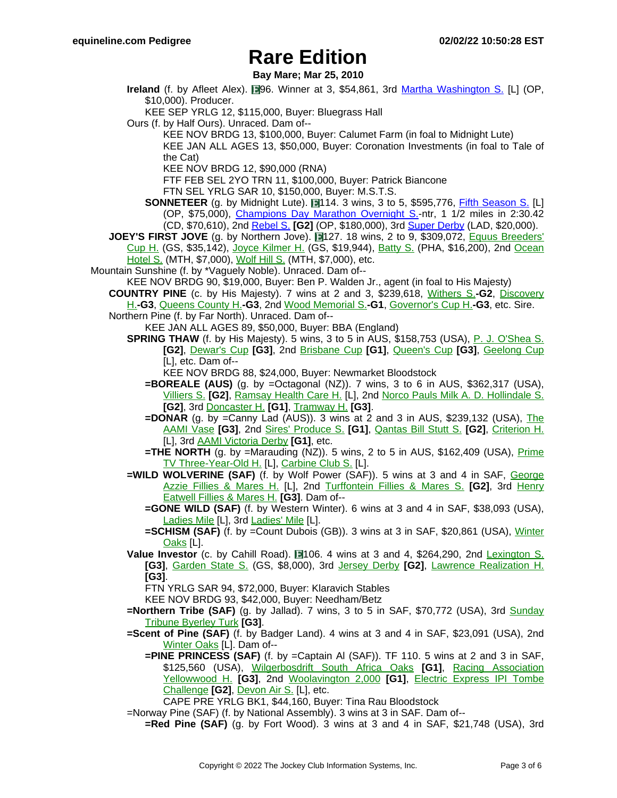**Bay Mare; Mar 25, 2010**

**Ireland** (f. by Afleet Alex). **196.** Winner at 3, \$54,861, 3rd Martha [Washington](https://www.equineline.com/dotVideoChart.cfm?track=OP+&country=USA&race_date=2014-02-01&raceid=mp4:2014/1308/201402011737OPM8_1308.f4v&refno=9113282®istry=T&race_name=Martha+Washington+S.&race_number=8&day_evening=D&product_reference_number=40PA) S. [L] (OP, \$10,000). Producer.

KEE SEP YRLG 12, \$115,000, Buyer: Bluegrass Hall

- Ours (f. by Half Ours). Unraced. Dam of--
	- KEE NOV BRDG 13, \$100,000, Buyer: Calumet Farm (in foal to Midnight Lute)
	- KEE JAN ALL AGES 13, \$50,000, Buyer: Coronation Investments (in foal to Tale of the Cat)

KEE NOV BRDG 12, \$90,000 (RNA)

FTF FEB SEL 2YO TRN 11, \$100,000, Buyer: Patrick Biancone

FTN SEL YRLG SAR 10, \$150,000, Buyer: M.S.T.S.

- **SONNETEER** (g. by Midnight Lute). 114. 3 wins, 3 to 5, \$595,776, *Fifth [Season](https://www.equineline.com/dotVideoChart.cfm?track=OP+&country=USA&race_date=2018-01-12&raceid=mp4:2018/1308/201801121651OPM8_1308.mp4&refno=9669775®istry=T&race_name=Fifth+Season+S.&race_number=8&day_evening=D&product_reference_number=40PA) S.* [L] (OP, \$75,000), [Champions](https://www.equineline.com/dotVideoChart.cfm?track=CD+&country=USA&race_date=2019-04-30&raceid=mp4:2019/1308/201904301549CHD7_1308.mp4&refno=9669775®istry=T&race_name=Champions+Day+Marathon+Overnight+S.&race_number=7&day_evening=D&product_reference_number=40PA) Day Marathon Overnight S.-ntr, 1 1/2 miles in 2:30.42 (CD, \$70,610), 2nd [Rebel](https://www.equineline.com/dotVideoChart.cfm?track=OP+&country=USA&race_date=2017-03-18&raceid=mp4:2017/1308/201703181907OPM10_1308.mp4&refno=9669775®istry=T&race_name=Rebel+S.&race_number=10&day_evening=D&product_reference_number=40PA) S. **[G2]** (OP, \$180,000), 3rd Super [Derby](https://www.equineline.com/dotVideoChart.cfm?track=LAD&country=USA&race_date=2017-09-09&raceid=mp4:2017/1308/201709091814LDM11_1308.mp4&refno=9669775®istry=T&race_name=Super+Derby&race_number=11&day_evening=D&product_reference_number=40PA) (LAD, \$20,000).
- **JOEY'S FIRST JOVE** (g. by Northern Jove). 127. 18 wins, 2 to 9, \$309,072, Equus [Breeders'](https://www.equineline.com/dotVideoChart.cfm?track=GS+&country=USA&race_date=1992-04-04&refno=1075838®istry=T&race_name=Equus+Breeders) [Cup](https://www.equineline.com/dotVideoChart.cfm?track=GS+&country=USA&race_date=1992-04-04&refno=1075838®istry=T&race_name=Equus+Breeders) H. (GS, \$35,142), Joyce [Kilmer](https://www.equineline.com/dotVideoChart.cfm?track=GS+&country=USA&race_date=1991-03-02&refno=1075838®istry=T&race_name=Joyce+Kilmer+H.&race_number=9&day_evening=D&product_reference_number=40PA) H. (GS, \$19,944), [Batty](https://www.equineline.com/dotVideoChart.cfm?track=PHA&country=USA&race_date=1993-04-25&refno=1075838®istry=T&race_name=Batty+S.&race_number=8&day_evening=D&product_reference_number=40PA) S. (PHA, \$16,200), 2nd O[cean](https://www.equineline.com/dotVideoChart.cfm?track=MTH&country=USA&race_date=1991-07-04&refno=1075838®istry=T&race_name=Ocean+Hotel+S.&race_number=6&day_evening=D&product_reference_number=40PA) [Hotel](https://www.equineline.com/dotVideoChart.cfm?track=MTH&country=USA&race_date=1991-07-04&refno=1075838®istry=T&race_name=Ocean+Hotel+S.&race_number=6&day_evening=D&product_reference_number=40PA) S. (MTH, \$7,000), [Wolf](https://www.equineline.com/dotVideoChart.cfm?track=MTH&country=USA&race_date=1991-08-24&refno=1075838®istry=T&race_name=Wolf+Hill+S.&race_number=8&day_evening=D&product_reference_number=40PA) Hill S. (MTH, \$7,000), etc.
- Mountain Sunshine (f. by \*Vaguely Noble). Unraced. Dam of--

KEE NOV BRDG 90, \$19,000, Buyer: Ben P. Walden Jr., agent (in foal to His Majesty)

- **COUNTRY PINE** (c. by His Majesty). 7 wins at 2 and 3, \$239,618, Withers S.**[-G2](https://www.equineline.com/dotVideoChart.cfm?track=AQU&country=USA&race_date=1983-05-14&refno=798477®istry=T&race_name=Withers+S.&race_number=8&day_evening=D&product_reference_number=40PA)**, Disco[very](https://www.equineline.com/dotVideoChart.cfm?track=AQU&country=USA&race_date=1983-10-28&refno=798477®istry=T&race_name=Discovery+H.&race_number=8&day_evening=D&product_reference_number=40PA) H.**-G3**, [Queens](https://www.equineline.com/dotVideoChart.cfm?track=AQU&country=USA&race_date=1983-11-24&refno=798477®istry=T&race_name=Queens+County+H.&race_number=8&day_evening=D&product_reference_number=40PA) County H.**-G3**, 2nd Wood [Memorial](https://www.equineline.com/dotVideoChart.cfm?track=AQU&country=USA&race_date=1983-04-23&refno=798477®istry=T&race_name=Wood+Memorial+S.&race_number=7&day_evening=D&product_reference_number=40PA) S.**-G1**, [Governor's](https://www.equineline.com/dotVideoChart.cfm?track=BOW&country=USA&race_date=1983-07-16&refno=798477®istry=T&race_name=Governor) Cup H.**-G3**, etc. Sire.
- Northern Pine (f. by Far North). Unraced. Dam of--
	- KEE JAN ALL AGES 89, \$50,000, Buyer: BBA (England)
	- **SPRING THAW** (f. by His Majesty). 5 wins, 3 to 5 in AUS, \$158,753 (USA), P. J. [O'Shea](https://www.equineline.com/dotVideoChart.cfm?track=EF+&country=AUS&race_date=1991-06-01&refno=1080096®istry=T&race_name=P.+J.+O) S. **[G2]**, [Dewar's](https://www.equineline.com/dotVideoChart.cfm?track=VP+&country=AUS&race_date=1991-04-20&refno=1080096®istry=T&race_name=Dewar) Cup **[G3]**, 2nd B[risbane](https://www.equineline.com/dotVideoChart.cfm?track=EF+&country=AUS&race_date=1991-06-10&refno=1080096®istry=T&race_name=Brisbane+Cup&race_number=60153&day_evening=D&product_reference_number=40PA) Cup **[G1]**, Q[ueen's](https://www.equineline.com/dotVideoChart.cfm?track=ACH&country=AUS&race_date=1990-09-29&refno=1080096®istry=T&race_name=Queen) Cup **[G3]**, Ge[elong](https://www.equineline.com/dotVideoChart.cfm?track=GEE&country=AUS&race_date=1990-10-24&refno=1080096®istry=T&race_name=Geelong+Cup&race_number=60236&day_evening=D&product_reference_number=40PA) Cup [L], etc. Dam of--

KEE NOV BRDG 88, \$24,000, Buyer: Newmarket Bloodstock

- **=BOREALE (AUS)** (g. by =Octagonal (NZ)). 7 wins, 3 to 6 in AUS, \$362,317 (USA), [Villiers](https://www.equineline.com/dotVideoChart.cfm?track=RAN&country=AUS&race_date=2002-12-21&refno=6008054®istry=T&race_name=Villiers+S.&race_number=6&day_evening=D&product_reference_number=40PA) S. **[G2]**, [Ramsay](https://www.equineline.com/dotVideoChart.cfm?track=EF+&country=AUS&race_date=2003-05-03&refno=6008054®istry=T&race_name=Ramsay+Health+Care+H.&race_number=5&day_evening=D&product_reference_number=40PA) Health Care H. [L], 2nd Norco Pauls Milk A. D. [Hollindale](https://www.equineline.com/dotVideoChart.cfm?track=GST&country=AUS&race_date=2003-05-10&refno=6008054®istry=T&race_name=Norco+Pauls+Milk+A.+D.+Hollindale+S.&race_number=6&day_evening=D&product_reference_number=40PA) S. **[G2]**, 3rd [Doncaster](https://www.equineline.com/dotVideoChart.cfm?track=RAN&country=AUS&race_date=2003-04-19&refno=6008054®istry=T&race_name=Doncaster+H.&race_number=8&day_evening=D&product_reference_number=40PA) H. **[G1]**, [Tramway](https://www.equineline.com/dotVideoChart.cfm?track=RAN&country=AUS&race_date=2003-09-06&refno=6008054®istry=T&race_name=Tramway+H.&race_number=5&day_evening=D&product_reference_number=40PA) H. **[G3]**.
- **=DONAR** (g. by =Canny Lad (AUS)). 3 wins at 2 and 3 in AUS, \$239,132 (USA), The [AAMI](https://www.equineline.com/dotVideoChart.cfm?track=MOO&country=AUS&race_date=1995-10-28&refno=1618158®istry=T&race_name=The+AAMI+Vase&race_number=3&day_evening=D&product_reference_number=40PA) Vase **[G3]**, 2nd Sires' [Produce](https://www.equineline.com/dotVideoChart.cfm?track=FLE&country=AUS&race_date=1995-03-11&refno=1618158®istry=T&race_name=Sires) S. **[G1]**, Q[antas](https://www.equineline.com/dotVideoChart.cfm?track=MOO&country=AUS&race_date=1995-10-01&refno=1618158®istry=T&race_name=Qantas+Bill+Stutt+S.&race_number=6&day_evening=D&product_reference_number=40PA) Bill Stutt S. **[G2]**, Cri[terion](https://www.equineline.com/dotVideoChart.cfm?track=FLE&country=AUS&race_date=1995-02-18&refno=1618158®istry=T&race_name=Criterion+H.&race_number=62460&day_evening=D&product_reference_number=40PA) H. [L], 3rd AAMI [Victoria](https://www.equineline.com/dotVideoChart.cfm?track=FLE&country=AUS&race_date=1995-11-04&refno=1618158®istry=T&race_name=AAMI+Victoria+Derby&race_number=5&day_evening=D&product_reference_number=40PA) Derby **[G1]**, etc.
- **=THE NORTH** (g. by =Marauding (NZ)). 5 wins, 2 to 5 in AUS, \$162,409 (USA),  $\frac{Prime}{}$  $\frac{Prime}{}$  $\frac{Prime}{}$ TV [Three-Year-Old](https://www.equineline.com/dotVideoChart.cfm?track=TAM&country=AUS&race_date=1997-01-31&refno=1690466®istry=T&race_name=Prime+TV+Three-Year-Old+H.&race_number=4&day_evening=D&product_reference_number=40PA) H. [L], [Carbine](https://www.equineline.com/dotVideoChart.cfm?track=RAN&country=AUS&race_date=1997-03-29&refno=1690466®istry=T&race_name=Carbine+Club+S.&race_number=1&day_evening=D&product_reference_number=40PA) Club S. [L].
- **=WILD WOLVERINE (SAF)** (f. by Wolf Power (SAF)). 5 wins at 3 and 4 in SAF, Geor[ge](https://www.equineline.com/dotVideoChart.cfm?track=NKT&country=SAF&race_date=1998-09-29&refno=4594389®istry=T&race_name=George+Azzie+Fillies+&+Mares+H.&race_number=65235&day_evening=D&product_reference_number=40PA) Azzie Fillies & [Mares](https://www.equineline.com/dotVideoChart.cfm?track=NKT&country=SAF&race_date=1998-09-29&refno=4594389®istry=T&race_name=George+Azzie+Fillies+&+Mares+H.&race_number=65235&day_evening=D&product_reference_number=40PA) H. [L], 2nd Turf[fontein](https://www.equineline.com/dotVideoChart.cfm?track=TFF&country=SAF&race_date=1998-12-05&refno=4594389®istry=T&race_name=Turffontein+Fillies+&+Mares+S.&race_number=64885&day_evening=D&product_reference_number=40PA) Fillies & Mares S. **[G2]**, 3rd Henry [Eatwell](https://www.equineline.com/dotVideoChart.cfm?track=NKT&country=SAF&race_date=1998-11-17&refno=4594389®istry=T&race_name=Henry+Eatwell+Fillies+&+Mares+H.&race_number=64860&day_evening=D&product_reference_number=40PA) Fillies & Mares H. **[G3]**. Dam of--
	- **=GONE WILD (SAF)** (f. by Western Winter). 6 wins at 3 and 4 in SAF, \$38,093 (USA), [Ladies](https://www.equineline.com/dotVideoChart.cfm?track=KEN&country=SAF&race_date=2009-06-20&refno=8368631®istry=T&race_name=Ladies+Mile&race_number=8&day_evening=D&product_reference_number=40PA) Mile [L], 3rd [Ladies'](https://www.equineline.com/dotVideoChart.cfm?track=KEN&country=SAF&race_date=2008-06-28&refno=8368631®istry=T&race_name=Ladies) Mile [L].
	- **=SCHISM (SAF)** (f. by =Count Dubois (GB)). 3 wins at 3 in SAF, \$20,861 (USA), [Winter](https://www.equineline.com/dotVideoChart.cfm?track=KEN&country=SAF&race_date=2013-06-29&refno=9032145®istry=T&race_name=Winter+Oaks&race_number=7&day_evening=D&product_reference_number=40PA) [Oaks](https://www.equineline.com/dotVideoChart.cfm?track=KEN&country=SAF&race_date=2013-06-29&refno=9032145®istry=T&race_name=Winter+Oaks&race_number=7&day_evening=D&product_reference_number=40PA) [L].
- **Value Investor** (c. by Cahill Road). 1106. 4 wins at 3 and 4, \$264,290, 2nd Lexi[ngton](https://www.equineline.com/dotVideoChart.cfm?track=BEL&country=USA&race_date=1996-07-14&refno=1404505®istry=T&race_name=Lexington+S.&race_number=9&day_evening=D&product_reference_number=40PA) S. **[G3]**, [Garden](https://www.equineline.com/dotVideoChart.cfm?track=GS+&country=USA&race_date=1996-05-10&refno=1404505®istry=T&race_name=Garden+State+S.&race_number=6&day_evening=D&product_reference_number=40PA) State S. (GS, \$8,000), 3rd Jersey [Derby](https://www.equineline.com/dotVideoChart.cfm?track=GS+&country=USA&race_date=1996-05-24&refno=1404505®istry=T&race_name=Jersey+Derby&race_number=9&day_evening=D&product_reference_number=40PA) **[G2]**, Lawrence [Realization](https://www.equineline.com/dotVideoChart.cfm?track=BEL&country=USA&race_date=1996-09-22&refno=1404505®istry=T&race_name=Lawrence+Realization+H.&race_number=9&day_evening=D&product_reference_number=40PA) H. **[G3]**.

FTN YRLG SAR 94, \$72,000, Buyer: Klaravich Stables

KEE NOV BRDG 93, \$42,000, Buyer: Needham/Betz

- **=Northern Tribe (SAF)** (g. by Jallad). 7 wins, 3 to 5 in SAF, \$70,772 (USA), 3rd Sund[ay](https://www.equineline.com/dotVideoChart.cfm?track=SCO&country=SAF&race_date=2006-04-09&refno=7741555®istry=T&race_name=Sunday+Tribune+Byerley+Turk&race_number=7&day_evening=D&product_reference_number=40PA) [Tribune](https://www.equineline.com/dotVideoChart.cfm?track=SCO&country=SAF&race_date=2006-04-09&refno=7741555®istry=T&race_name=Sunday+Tribune+Byerley+Turk&race_number=7&day_evening=D&product_reference_number=40PA) Byerley Turk **[G3]**.
- **=Scent of Pine (SAF)** (f. by Badger Land). 4 wins at 3 and 4 in SAF, \$23,091 (USA), 2nd [Winter](https://www.equineline.com/dotVideoChart.cfm?track=KEN&country=SAF&race_date=2004-06-06&refno=6859975®istry=T&race_name=Winter+Oaks&race_number=8&day_evening=D&product_reference_number=40PA) Oaks [L]. Dam of--
	- **=PINE PRINCESS (SAF)** (f. by =Captain Al (SAF)). TF 110. 5 wins at 2 and 3 in SAF, \$125,560 (USA), W[ilgerbosdrift](https://www.equineline.com/dotVideoChart.cfm?track=TFF&country=SAF&race_date=2015-04-25&refno=9387182®istry=T&race_name=Wilgerbosdrift+South+Africa+Oaks&race_number=6&day_evening=D&product_reference_number=40PA) South Africa Oaks **[G1]**, Racing [Association](https://www.equineline.com/dotVideoChart.cfm?track=TFF&country=SAF&race_date=2014-10-28&refno=9387182®istry=T&race_name=Racing+Association+Yellowwood+H.&race_number=6&day_evening=D&product_reference_number=40PA) [Yellowwood](https://www.equineline.com/dotVideoChart.cfm?track=TFF&country=SAF&race_date=2014-10-28&refno=9387182®istry=T&race_name=Racing+Association+Yellowwood+H.&race_number=6&day_evening=D&product_reference_number=40PA) H. **[G3]**, 2nd W[oolavington](https://www.equineline.com/dotVideoChart.cfm?track=GRV&country=SAF&race_date=2015-05-30&refno=9387182®istry=T&race_name=Woolavington+2,000&race_number=6&day_evening=D&product_reference_number=40PA) 2,000 **[G1]**, Electric [Express](https://www.equineline.com/dotVideoChart.cfm?track=TFF&country=SAF&race_date=2014-11-29&refno=9387182®istry=T&race_name=Electric+Express+IPI+Tombe+Challenge&race_number=8&day_evening=D&product_reference_number=40PA) IPI Tombe [Challenge](https://www.equineline.com/dotVideoChart.cfm?track=TFF&country=SAF&race_date=2014-11-29&refno=9387182®istry=T&race_name=Electric+Express+IPI+Tombe+Challenge&race_number=8&day_evening=D&product_reference_number=40PA) **[G2]**, [Devon](https://www.equineline.com/dotVideoChart.cfm?track=CLA&country=SAF&race_date=2014-06-07&refno=9387182®istry=T&race_name=Devon+Air+S.&race_number=2&day_evening=D&product_reference_number=40PA) Air S. [L], etc.

CAPE PRE YRLG BK1, \$44,160, Buyer: Tina Rau Bloodstock

=Norway Pine (SAF) (f. by National Assembly). 3 wins at 3 in SAF. Dam of--

**=Red Pine (SAF)** (g. by Fort Wood). 3 wins at 3 and 4 in SAF, \$21,748 (USA), 3rd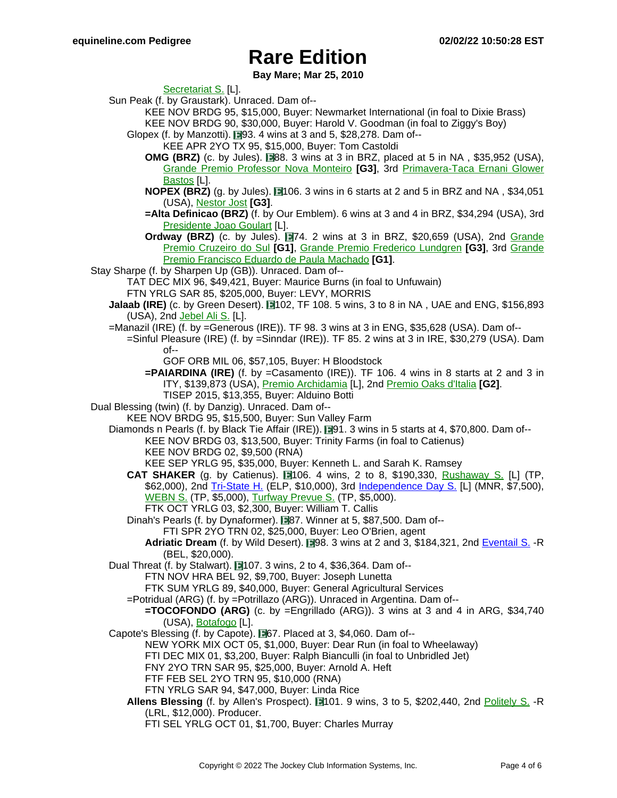**Bay Mare; Mar 25, 2010**

[Secretariat](https://www.equineline.com/dotVideoChart.cfm?track=TFF&country=SAF&race_date=2008-12-06&refno=8487662®istry=T&race_name=Secretariat+S.&race_number=6&day_evening=D&product_reference_number=40PA) S. [L].

Sun Peak (f. by Graustark). Unraced. Dam of--

- KEE NOV BRDG 95, \$15,000, Buyer: Newmarket International (in foal to Dixie Brass) KEE NOV BRDG 90, \$30,000, Buyer: Harold V. Goodman (in foal to Ziggy's Boy)
- Glopex (f. by Manzotti).  $\square$ 93. 4 wins at 3 and 5, \$28,278. Dam of--
	- KEE APR 2YO TX 95, \$15,000, Buyer: Tom Castoldi
	- **OMG (BRZ)** (c. by Jules).  $\Box$ 88. 3 wins at 3 in BRZ, placed at 5 in NA, \$35,952 (USA), Grande Premio [Professor](https://www.equineline.com/dotVideoChart.cfm?track=GVA&country=BRZ&race_date=2007-06-10&refno=7787629®istry=T&race_name=Grande+Premio+Professor+Nova+Monteiro&race_number=1947&day_evening=D&product_reference_number=40PA) Nova Monteiro **[G3]**, 3rd Pri[mavera-Taca](https://www.equineline.com/dotVideoChart.cfm?track=GVA&country=BRZ&race_date=2006-10-01&refno=7787629®istry=T&race_name=Primavera-Taca+Ernani+Glower+Bastos&race_number=527&day_evening=D&product_reference_number=40PA) Ernani Glower [Bastos](https://www.equineline.com/dotVideoChart.cfm?track=GVA&country=BRZ&race_date=2006-10-01&refno=7787629®istry=T&race_name=Primavera-Taca+Ernani+Glower+Bastos&race_number=527&day_evening=D&product_reference_number=40PA) [L].
	- **NOPEX (BRZ)** (g. by Jules). **106. 3 wins in 6 starts at 2 and 5 in BRZ and NA, \$34,051** (USA), [Nestor](https://www.equineline.com/dotVideoChart.cfm?track=GVA&country=BRZ&race_date=2003-03-29&refno=6276484®istry=T&race_name=Nestor+Jost&race_number=1581&day_evening=D&product_reference_number=40PA) Jost **[G3]**.
	- **=Alta Definicao (BRZ)** (f. by Our Emblem). 6 wins at 3 and 4 in BRZ, \$34,294 (USA), 3rd [Presidente](https://www.equineline.com/dotVideoChart.cfm?track=GVA&country=BRZ&race_date=2014-08-10&refno=8956000®istry=T&race_name=Presidente+Joao+Goulart&race_number=200&day_evening=D&product_reference_number=40PA) Joao Goulart [L].
	- **Ordway (BRZ)** (c. by Jules). **1974.** 2 wins at 3 in BRZ, \$20,659 (USA), 2nd Grande Premio [Cruzeiro](https://www.equineline.com/dotVideoChart.cfm?track=GVA&country=BRZ&race_date=2005-04-17&refno=6469092®istry=T&race_name=Grande+Premio+Cruzeiro+do+Sul&race_number=1682&day_evening=D&product_reference_number=40PA) do Sul **[G1]**, Grande Premio Frederico [Lundgren](https://www.equineline.com/dotVideoChart.cfm?track=GVA&country=BRZ&race_date=2004-12-05&refno=6469092®istry=T&race_name=Grande+Premio+Frederico+Lundgren&race_number=929&day_evening=D&product_reference_number=40PA) **[G3]**, 3rd Gr[ande](https://www.equineline.com/dotVideoChart.cfm?track=GVA&country=BRZ&race_date=2005-03-20&refno=6469092®istry=T&race_name=Grande+Premio+Francisco+Eduardo+de+Paula+Machado&race_number=1515&day_evening=D&product_reference_number=40PA) Premio [Francisco](https://www.equineline.com/dotVideoChart.cfm?track=GVA&country=BRZ&race_date=2005-03-20&refno=6469092®istry=T&race_name=Grande+Premio+Francisco+Eduardo+de+Paula+Machado&race_number=1515&day_evening=D&product_reference_number=40PA) Eduardo de Paula Machado **[G1]**.
- Stay Sharpe (f. by Sharpen Up (GB)). Unraced. Dam of--
	- TAT DEC MIX 96, \$49,421, Buyer: Maurice Burns (in foal to Unfuwain) FTN YRLG SAR 85, \$205,000, Buyer: LEVY, MORRIS
	- **Jalaab (IRE)** (c. by Green Desert). **11**02, TF 108. 5 wins, 3 to 8 in NA, UAE and ENG, \$156,893 (USA), 2nd [Jebel](https://www.equineline.com/dotVideoChart.cfm?track=JEB&country=UAE&race_date=2000-12-29&refno=2495035®istry=T&race_name=Jebel+Ali+S.&race_number=93&day_evening=D&product_reference_number=40PA) Ali S. [L].
	- =Manazil (IRE) (f. by =Generous (IRE)). TF 98. 3 wins at 3 in ENG, \$35,628 (USA). Dam of--
		- =Sinful Pleasure (IRE) (f. by =Sinndar (IRE)). TF 85. 2 wins at 3 in IRE, \$30,279 (USA). Dam of--
			- GOF ORB MIL 06, \$57,105, Buyer: H Bloodstock
			- **=PAIARDINA (IRE)** (f. by =Casamento (IRE)). TF 106. 4 wins in 8 starts at 2 and 3 in ITY, \$139,873 (USA), Premio [Archidamia](https://www.equineline.com/dotVideoChart.cfm?track=ROM&country=ITY&race_date=2017-10-01&refno=9764946®istry=T&race_name=Premio+Archidamia&race_number=2&day_evening=D&product_reference_number=40PA) [L], 2nd [Premio](https://www.equineline.com/dotVideoChart.cfm?track=MIL&country=ITY&race_date=2017-05-28&refno=9764946®istry=T&race_name=Premio+Oaks+d) Oaks d'Italia **[G2]**. TISEP 2015, \$13,355, Buyer: Alduino Botti
- Dual Blessing (twin) (f. by Danzig). Unraced. Dam of--
	- KEE NOV BRDG 95, \$15,500, Buyer: Sun Valley Farm

Diamonds n Pearls (f. by Black Tie Affair (IRE)). 191. 3 wins in 5 starts at 4, \$70,800. Dam of--

- KEE NOV BRDG 03, \$13,500, Buyer: Trinity Farms (in foal to Catienus) KEE NOV BRDG 02, \$9,500 (RNA)
	- KEE SEP YRLG 95, \$35,000, Buyer: Kenneth L. and Sarah K. Ramsey
- **CAT SHAKER** (g. by Catienus).  $\blacksquare$ 106. 4 wins, 2 to 8, \$190,330, Rushaway S. [\[L\] \(T](https://www.equineline.com/dotVideoChart.cfm?track=TP+&country=USA&race_date=2005-03-26&refno=6578150®istry=T&race_name=Rushaway+S.&race_number=8&day_evening=D&product_reference_number=40PA)P, \$62,000), 2nd [Tri-State](https://www.equineline.com/dotVideoChart.cfm?track=ELP&country=USA&race_date=2007-09-01&raceid=mp4:2007/300/200709011705ELD10_300.f4v&refno=6578150®istry=T&race_name=Tri-State+H.&race_number=10&day_evening=D&product_reference_number=40PA) H. (ELP, \$10,000), 3rd I[ndependence](https://www.equineline.com/dotVideoChart.cfm?track=MNR&country=USA&race_date=2007-07-03&raceid=mp4:2007/300/200707032013MNE4_300.f4v&refno=6578150®istry=T&race_name=Independence+Day+S.&race_number=4&day_evening=D&product_reference_number=40PA) Day S. [L] (MNR, \$7,500), [WEBN](https://www.equineline.com/dotVideoChart.cfm?track=TP+&country=USA&race_date=2005-02-05&refno=6578150®istry=T&race_name=WEBN+S.&race_number=10&day_evening=D&product_reference_number=40PA) S. (TP, \$5,000), [Turfway](https://www.equineline.com/dotVideoChart.cfm?track=TP+&country=USA&race_date=2005-01-08&refno=6578150®istry=T&race_name=Turfway+Prevue+S.&race_number=10&day_evening=D&product_reference_number=40PA) Prevue S. (TP, \$5,000). FTK OCT YRLG 03, \$2,300, Buyer: William T. Callis
- Dinah's Pearls (f. by Dynaformer). 87. Winner at 5, \$87,500. Dam of--
	- FTI SPR 2YO TRN 02, \$25,000, Buyer: Leo O'Brien, agent
	- **Adriatic Dream** (f. by Wild Desert). 198. 3 wins at 2 and 3, \$184,321, 2nd [Eventail](https://www.equineline.com/dotVideoChart.cfm?track=BEL&country=USA&race_date=2013-07-04&raceid=mp4:2013/1308/201307041436BED4_1308.f4v&refno=8858901®istry=T&race_name=Eventail+S.&race_number=4&day_evening=D&product_reference_number=40PA) S. -R (BEL, \$20,000).
- Dual Threat (f. by Stalwart). ■107. 3 wins, 2 to 4, \$36,364. Dam of--
	- FTN NOV HRA BEL 92, \$9,700, Buyer: Joseph Lunetta
	- FTK SUM YRLG 89, \$40,000, Buyer: General Agricultural Services
	- =Potridual (ARG) (f. by =Potrillazo (ARG)). Unraced in Argentina. Dam of--
	- **=TOCOFONDO (ARG)** (c. by =Engrillado (ARG)). 3 wins at 3 and 4 in ARG, \$34,740 (USA), [Botafogo](https://www.equineline.com/dotVideoChart.cfm?track=SI+&country=ARG&race_date=2009-01-07&refno=7895379®istry=T&race_name=Botafogo&race_number=8&day_evening=D&product_reference_number=40PA) [L].
- Capote's Blessing (f. by Capote). **667.** Placed at 3, \$4,060. Dam of--
	- NEW YORK MIX OCT 05, \$1,000, Buyer: Dear Run (in foal to Wheelaway)
	- FTI DEC MIX 01, \$3,200, Buyer: Ralph Bianculli (in foal to Unbridled Jet)
	- FNY 2YO TRN SAR 95, \$25,000, Buyer: Arnold A. Heft
	- FTF FEB SEL 2YO TRN 95, \$10,000 (RNA)
	- FTN YRLG SAR 94, \$47,000, Buyer: Linda Rice
	- Allens Blessing (f. by Allen's Prospect). 1401. 9 wins, 3 to 5, \$202,440, 2nd P[olitely](https://www.equineline.com/dotVideoChart.cfm?track=LRL&country=USA&race_date=2003-12-13&refno=5719340®istry=T&race_name=Politely+S.&race_number=8&day_evening=D&product_reference_number=40PA) S. -R (LRL, \$12,000). Producer.
		- FTI SEL YRLG OCT 01, \$1,700, Buyer: Charles Murray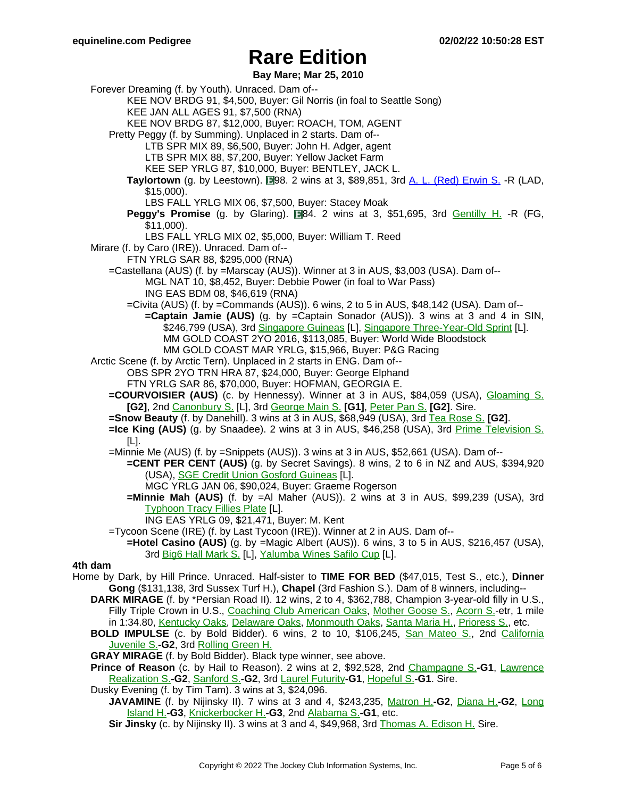**Bay Mare; Mar 25, 2010**

Forever Dreaming (f. by Youth). Unraced. Dam of-- KEE NOV BRDG 91, \$4,500, Buyer: Gil Norris (in foal to Seattle Song) KEE JAN ALL AGES 91, \$7,500 (RNA) KEE NOV BRDG 87, \$12,000, Buyer: ROACH, TOM, AGENT Pretty Peggy (f. by Summing). Unplaced in 2 starts. Dam of-- LTB SPR MIX 89, \$6,500, Buyer: John H. Adger, agent LTB SPR MIX 88, \$7,200, Buyer: Yellow Jacket Farm KEE SEP YRLG 87, \$10,000, Buyer: BENTLEY, JACK L. **Taylortown** (g. by Leestown). 198. 2 wins at 3, \$89,851, 3rd A. L. (Red) [Erwin](https://www.equineline.com/dotVideoChart.cfm?track=LAD&country=USA&race_date=2008-09-06&raceid=mp4:2008/1308/200809061818LDM9_1308.f4v&refno=7505562®istry=T&race_name=A.+L.+(Red)+Erwin+S.&race_number=9&day_evening=D&product_reference_number=40PA) S. -R (LAD, \$15,000). LBS FALL YRLG MIX 06, \$7,500, Buyer: Stacey Moak **Peggy's Promise** (g. by Glaring). **1984.** 2 wins at 3, \$51,695, 3rd Gentilly H. [-R \(FG](https://www.equineline.com/dotVideoChart.cfm?track=FG+&country=USA&race_date=2004-03-20&refno=6224705®istry=T&race_name=Gentilly+H.&race_number=9&day_evening=D&product_reference_number=40PA), \$11,000). LBS FALL YRLG MIX 02, \$5,000, Buyer: William T. Reed Mirare (f. by Caro (IRE)). Unraced. Dam of-- FTN YRLG SAR 88, \$295,000 (RNA) =Castellana (AUS) (f. by =Marscay (AUS)). Winner at 3 in AUS, \$3,003 (USA). Dam of-- MGL NAT 10, \$8,452, Buyer: Debbie Power (in foal to War Pass) ING EAS BDM 08, \$46,619 (RNA) =Civita (AUS) (f. by =Commands (AUS)). 6 wins, 2 to 5 in AUS, \$48,142 (USA). Dam of-- **=Captain Jamie (AUS)** (g. by =Captain Sonador (AUS)). 3 wins at 3 and 4 in SIN, \$246,799 (USA), 3rd [Singapore](https://www.equineline.com/dotVideoChart.cfm?track=SIN&country=SIN&race_date=2018-05-26&refno=9786478®istry=T&race_name=Singapore+Guineas&race_number=8&day_evening=D&product_reference_number=40PA) Guineas [L], Singapore [Three-Year-Old](https://www.equineline.com/dotVideoChart.cfm?track=SIN&country=SIN&race_date=2018-03-30&refno=9786478®istry=T&race_name=Singapore+Three-Year-Old+Sprint&race_number=9&day_evening=D&product_reference_number=40PA) Sprint [L]. MM GOLD COAST 2YO 2016, \$113,085, Buyer: World Wide Bloodstock MM GOLD COAST MAR YRLG, \$15,966, Buyer: P&G Racing Arctic Scene (f. by Arctic Tern). Unplaced in 2 starts in ENG. Dam of-- OBS SPR 2YO TRN HRA 87, \$24,000, Buyer: George Elphand FTN YRLG SAR 86, \$70,000, Buyer: HOFMAN, GEORGIA E. **=COURVOISIER (AUS)** (c. by Hennessy). Winner at 3 in AUS, \$84,059 (USA), Gloa[ming](https://www.equineline.com/dotVideoChart.cfm?track=ROH&country=AUS&race_date=2001-09-08&refno=5762465®istry=T&race_name=Gloaming+S.&race_number=6&day_evening=D&product_reference_number=40PA) S. **[G2]**, 2nd [Canonbury](https://www.equineline.com/dotVideoChart.cfm?track=RAN&country=AUS&race_date=2000-10-02&refno=5762465®istry=T&race_name=Canonbury+S.&race_number=1&day_evening=D&product_reference_number=40PA) S. [L], 3rd [George](https://www.equineline.com/dotVideoChart.cfm?track=WF+&country=AUS&race_date=2001-09-22&refno=5762465®istry=T&race_name=George+Main+S.&race_number=6&day_evening=D&product_reference_number=40PA) Main S. **[G1]**, [Peter](https://www.equineline.com/dotVideoChart.cfm?track=ROH&country=AUS&race_date=2001-08-25&refno=5762465®istry=T&race_name=Peter+Pan+S.&race_number=6&day_evening=D&product_reference_number=40PA) Pan S. **[G2]**. Sire. **=Snow Beauty** (f. by Danehill). 3 wins at 3 in AUS, \$68,949 (USA), 3rd Tea [Rose](https://www.equineline.com/dotVideoChart.cfm?track=ROH&country=AUS&race_date=1997-09-20&refno=1697291®istry=T&race_name=Tea+Rose+S.&race_number=4&day_evening=D&product_reference_number=40PA) S. **[G2]**. **=Ice King (AUS)** (g. by Snaadee). 2 wins at 3 in AUS, \$46,258 (USA), 3rd Prime [Television](https://www.equineline.com/dotVideoChart.cfm?track=TAM&country=AUS&race_date=1999-01-29&refno=4610806®istry=T&race_name=Prime+Television+S.&race_number=7&day_evening=D&product_reference_number=40PA) S. [L]. =Minnie Me (AUS) (f. by =Snippets (AUS)). 3 wins at 3 in AUS, \$52,661 (USA). Dam of-- **=CENT PER CENT (AUS)** (g. by Secret Savings). 8 wins, 2 to 6 in NZ and AUS, \$394,920 (USA), SGE Credit Union Gosford [Guineas](https://www.equineline.com/dotVideoChart.cfm?track=GOS&country=AUS&race_date=2008-02-10&refno=7429137®istry=T&race_name=SGE+Credit+Union+Gosford+Guineas&race_number=8&day_evening=D&product_reference_number=40PA) [L]. MGC YRLG JAN 06, \$90,024, Buyer: Graeme Rogerson **=Minnie Mah (AUS)** (f. by =Al Maher (AUS)). 2 wins at 3 in AUS, \$99,239 (USA), 3rd **[Typhoon](https://www.equineline.com/dotVideoChart.cfm?track=MOO&country=AUS&race_date=2011-02-25&refno=8253067®istry=T&race_name=Typhoon+Tracy+Fillies+Plate&race_number=6&day_evening=D&product_reference_number=40PA) Tracy Fillies Plate [L].** ING EAS YRLG 09, \$21,471, Buyer: M. Kent =Tycoon Scene (IRE) (f. by Last Tycoon (IRE)). Winner at 2 in AUS. Dam of-- **=Hotel Casino (AUS)** (g. by =Magic Albert (AUS)). 6 wins, 3 to 5 in AUS, \$216,457 (USA), 3rd Big6 Hall [Mark](https://www.equineline.com/dotVideoChart.cfm?track=KEN&country=AUS&race_date=2009-04-13&refno=7082720®istry=T&race_name=Big6+Hall+Mark+S.&race_number=6&day_evening=D&product_reference_number=40PA) S. [L], [Yalumba](https://www.equineline.com/dotVideoChart.cfm?track=HAW&country=AUS&race_date=2009-11-05&refno=7082720®istry=T&race_name=Yalumba+Wines+Safilo+Cup&race_number=6&day_evening=D&product_reference_number=40PA) Wines Safilo Cup [L]. **4th dam** Home by Dark, by Hill Prince. Unraced. Half-sister to **TIME FOR BED** (\$47,015, Test S., etc.), **Dinner Gong** (\$131,138, 3rd Sussex Turf H.), **Chapel** (3rd Fashion S.). Dam of 8 winners, including-- **DARK MIRAGE** (f. by \*Persian Road II). 12 wins, 2 to 4, \$362,788, Champion 3-year-old filly in U.S., Filly Triple Crown in U.S., Coaching Club [American](https://www.equineline.com/dotVideoChart.cfm?track=BEL&country=USA&race_date=1968-06-22&refno=114750®istry=T&race_name=Coaching+Club+American+Oaks&race_number=7&day_evening=D&product_reference_number=40PA) Oaks, Mother [Goose](https://www.equineline.com/dotVideoChart.cfm?track=BEL&country=USA&race_date=1968-06-08&refno=114750®istry=T&race_name=Mother+Goose+S.&race_number=7&day_evening=D&product_reference_number=40PA) S., A[corn](https://www.equineline.com/dotVideoChart.cfm?track=BEL&country=USA&race_date=1968-05-25&refno=114750®istry=T&race_name=Acorn+S.&race_number=7&day_evening=D&product_reference_number=40PA) S.-etr, 1 mile in 1:34.80, [Kentucky](https://www.equineline.com/dotVideoChart.cfm?track=CD+&country=USA&race_date=1968-05-03&refno=114750®istry=T&race_name=Kentucky+Oaks&race_number=8&day_evening=D&product_reference_number=40PA) Oaks, [Delaware](https://www.equineline.com/dotVideoChart.cfm?track=DEL&country=USA&race_date=1968-07-27&refno=114750®istry=T&race_name=Delaware+Oaks&race_number=90&day_evening=D&product_reference_number=40PA) Oaks, [Monmouth](https://www.equineline.com/dotVideoChart.cfm?track=MTH&country=USA&race_date=1968-07-04&refno=114750®istry=T&race_name=Monmouth+Oaks&race_number=8&day_evening=D&product_reference_number=40PA) Oaks, [Santa](https://www.equineline.com/dotVideoChart.cfm?track=SA+&country=USA&race_date=1969-02-12&refno=114750®istry=T&race_name=Santa+Maria+H.&race_number=8&day_evening=D&product_reference_number=40PA) Maria H., [Prioress](https://www.equineline.com/dotVideoChart.cfm?track=AQU&country=USA&race_date=1968-04-03&refno=114750®istry=T&race_name=Prioress+S.&race_number=7&day_evening=D&product_reference_number=40PA) S., etc. **BOLD IMPULSE** (c. by Bold Bidder). 6 wins, 2 to 10, \$106,245, San Mateo [S., 2nd](https://www.equineline.com/dotVideoChart.cfm?track=BM+&country=USA&race_date=1975-11-08&refno=575967®istry=T&race_name=San+Mateo+S.&race_number=8&day_evening=D&product_reference_number=40PA) Californi[a](https://www.equineline.com/dotVideoChart.cfm?track=BM+&country=USA&race_date=1975-11-29&refno=575967®istry=T&race_name=California+Juvenile+S.&race_number=8&day_evening=D&product_reference_number=40PA) [Juvenile](https://www.equineline.com/dotVideoChart.cfm?track=BM+&country=USA&race_date=1975-11-29&refno=575967®istry=T&race_name=California+Juvenile+S.&race_number=8&day_evening=D&product_reference_number=40PA) S.**-G2**, 3rd [Rolling](https://www.equineline.com/dotVideoChart.cfm?track=GG+&country=USA&race_date=1978-04-29&refno=575967®istry=T&race_name=Rolling+Green+H.&race_number=8&day_evening=D&product_reference_number=40PA) Green H. **GRAY MIRAGE** (f. by Bold Bidder). Black type winner, see above.

**Prince of Reason** (c. by Hail to Reason). 2 wins at 2, \$92,528, 2nd Ch[ampagne](https://www.equineline.com/dotVideoChart.cfm?track=BEL&country=USA&race_date=1973-10-13&refno=392905®istry=T&race_name=Champagne+S.&race_number=8&day_evening=D&product_reference_number=40PA) S.**-G1**, Law[rence](https://www.equineline.com/dotVideoChart.cfm?track=BEL&country=USA&race_date=1974-08-31&refno=392905®istry=T&race_name=Lawrence+Realization+S.&race_number=8&day_evening=D&product_reference_number=40PA) [Realization](https://www.equineline.com/dotVideoChart.cfm?track=BEL&country=USA&race_date=1974-08-31&refno=392905®istry=T&race_name=Lawrence+Realization+S.&race_number=8&day_evening=D&product_reference_number=40PA) S.**-G2**, [Sanford](https://www.equineline.com/dotVideoChart.cfm?track=SAR&country=USA&race_date=1973-08-15&refno=392905®istry=T&race_name=Sanford+S.&race_number=7&day_evening=D&product_reference_number=40PA) S.**-G2**, 3rd Laurel [Futurity](https://www.equineline.com/dotVideoChart.cfm?track=LRL&country=USA&race_date=1973-11-03&refno=392905®istry=T&race_name=Laurel+Futurity&race_number=8&day_evening=D&product_reference_number=40PA)**-G1**, [Hopeful](https://www.equineline.com/dotVideoChart.cfm?track=SAR&country=USA&race_date=1973-08-25&refno=392905®istry=T&race_name=Hopeful+S.&race_number=7&day_evening=D&product_reference_number=40PA) S.**-G1**. Sire.

Dusky Evening (f. by Tim Tam). 3 wins at 3, \$24,096.

**JAVAMINE** (f. by Nijinsky II). 7 wins at 3 and 4, \$243,235, Matron H.**[-G2](https://www.equineline.com/dotVideoChart.cfm?track=AP+&country=USA&race_date=1977-09-03&refno=235430®istry=T&race_name=Matron+H.&race_number=8&day_evening=D&product_reference_number=40PA)**, Diana H.**[-G2](https://www.equineline.com/dotVideoChart.cfm?track=SAR&country=USA&race_date=1977-08-22&refno=235430®istry=T&race_name=Diana+H.&race_number=8&day_evening=D&product_reference_number=40PA)**, Long [Island](https://www.equineline.com/dotVideoChart.cfm?track=BEL&country=USA&race_date=1976-10-18&refno=235430®istry=T&race_name=Long+Island+H.&race_number=8&day_evening=D&product_reference_number=40PA) H.**-G3**, [Knickerbocker](https://www.equineline.com/dotVideoChart.cfm?track=AQU&country=USA&race_date=1976-11-02&refno=235430®istry=T&race_name=Knickerbocker+H.&race_number=6&day_evening=D&product_reference_number=40PA) H.**-G3**, 2nd [Alabama](https://www.equineline.com/dotVideoChart.cfm?track=SAR&country=USA&race_date=1976-08-14&refno=235430®istry=T&race_name=Alabama+S.&race_number=8&day_evening=D&product_reference_number=40PA) S.**-G1**, etc.

**Sir Jinsky** (c. by Nijinsky II). 3 wins at 3 and 4, \$49,968, 3rd [Thomas](https://www.equineline.com/dotVideoChart.cfm?track=MED&country=USA&race_date=1978-12-30&refno=634362®istry=T&race_name=Thomas+A.+Edison+H.&race_number=55&day_evening=E&product_reference_number=40PA) A. Edison H. Sire.